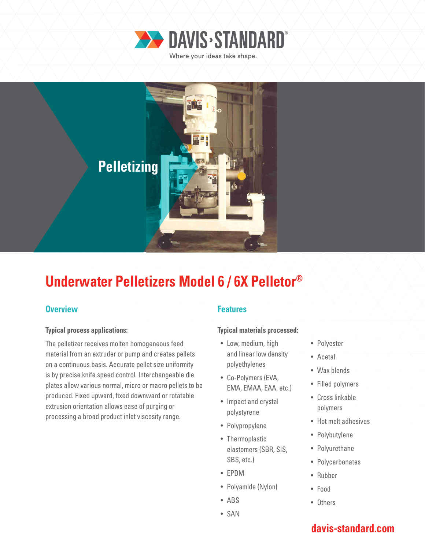



# **Underwater Pelletizers Model 6 / 6X Pelletor®**

### **Overview Allen Accepted Accepted Accepted Accepted Accepted Accepted Accepted Accepted Accepted Accepted Accepted**

### **Typical process applications:**

The pelletizer receives molten homogeneous feed material from an extruder or pump and creates pellets on a continuous basis. Accurate pellet size uniformity is by precise knife speed control. Interchangeable die plates allow various normal, micro or macro pellets to be produced. Fixed upward, fixed downward or rotatable extrusion orientation allows ease of purging or processing a broad product inlet viscosity range.

### **Typical materials processed:**

- Low, medium, high and linear low density polyethylenes
- Co-Polymers (EVA, EMA, EMAA, EAA, etc.)
- Impact and crystal polystyrene
- Polypropylene
- Thermoplastic elastomers (SBR, SIS, SBS, etc.)
- EPDM
- Polyamide (Nylon)
- ABS
- SAN
- Polyester
- Acetal
- Wax blends
- Filled polymers
- Cross linkable polymers
- Hot melt adhesives
- Polybutylene
- Polyurethane
- Polycarbonates
- Rubber
- Food
- Others

## **davis-standard.com**